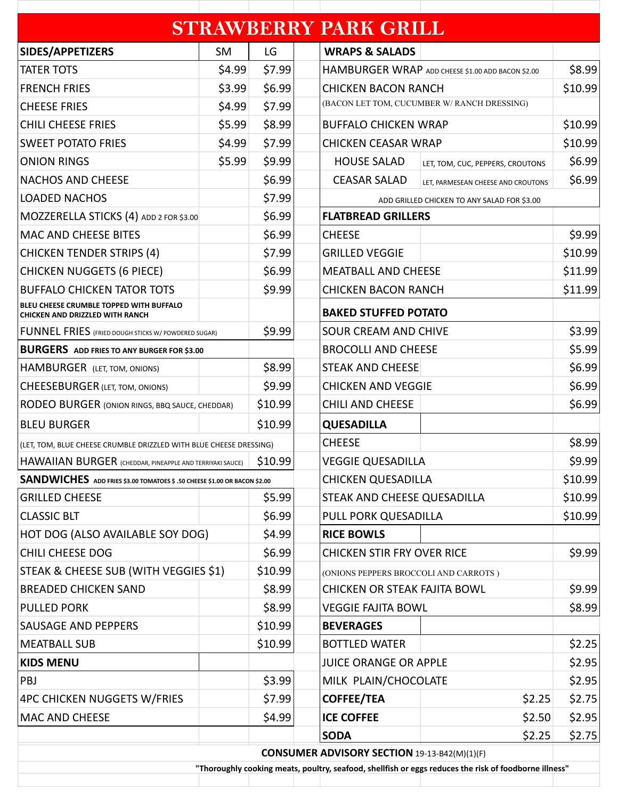|                                                                            |           |                           | <b>STRAWBERRY PARK GRILL</b>                        |                                                                                                       |         |
|----------------------------------------------------------------------------|-----------|---------------------------|-----------------------------------------------------|-------------------------------------------------------------------------------------------------------|---------|
| SIDES/APPETIZERS                                                           | <b>SM</b> | LG                        | <b>WRAPS &amp; SALADS</b>                           |                                                                                                       |         |
| <b>TATER TOTS</b>                                                          | \$4.99    | \$7.99                    |                                                     | HAMBURGER WRAP ADD CHEESE \$1.00 ADD BACON \$2.00                                                     |         |
| <b>FRENCH FRIES</b>                                                        | \$3.99    | \$6.99                    |                                                     | <b>CHICKEN BACON RANCH</b>                                                                            |         |
| <b>CHEESE FRIES</b>                                                        | \$4.99    | \$7.99                    |                                                     | (BACON LET TOM, CUCUMBER W/ RANCH DRESSING)                                                           |         |
| <b>CHILI CHEESE FRIES</b>                                                  | \$5.99    | \$8.99                    | <b>BUFFALO CHICKEN WRAP</b>                         |                                                                                                       | \$10.99 |
| <b>SWEET POTATO FRIES</b>                                                  | \$4.99    | \$7.99                    |                                                     | <b>CHICKEN CEASAR WRAP</b>                                                                            |         |
| <b>ONION RINGS</b>                                                         | \$5.99    | \$9.99                    | <b>HOUSE SALAD</b>                                  | LET, TOM, CUC, PEPPERS, CROUTONS                                                                      | \$6.99  |
| <b>NACHOS AND CHEESE</b>                                                   |           | \$6.99                    | <b>CEASAR SALAD</b>                                 | LET, PARMESEAN CHEESE AND CROUTONS                                                                    | \$6.99  |
| <b>LOADED NACHOS</b>                                                       |           | \$7.99                    |                                                     | ADD GRILLED CHICKEN TO ANY SALAD FOR \$3.00                                                           |         |
| MOZZERELLA STICKS (4) ADD 2 FOR \$3.00                                     |           | \$6.99                    | <b>FLATBREAD GRILLERS</b>                           |                                                                                                       |         |
| <b>MAC AND CHEESE BITES</b>                                                |           | \$6.99                    | <b>CHEESE</b>                                       |                                                                                                       | \$9.99  |
| <b>CHICKEN TENDER STRIPS (4)</b>                                           |           | \$7.99                    | <b>GRILLED VEGGIE</b>                               |                                                                                                       | \$10.99 |
| <b>CHICKEN NUGGETS (6 PIECE)</b>                                           |           | \$6.99                    | <b>MEATBALL AND CHEESE</b>                          |                                                                                                       | \$11.99 |
| <b>BUFFALO CHICKEN TATOR TOTS</b>                                          |           | \$9.99                    |                                                     | <b>CHICKEN BACON RANCH</b>                                                                            |         |
| BLEU CHEESE CRUMBLE TOPPED WITH BUFFALO<br>CHICKEN AND DRIZZLED WITH RANCH |           |                           |                                                     | <b>BAKED STUFFED POTATO</b>                                                                           |         |
| <b>FUNNEL FRIES</b> (FRIED DOUGH STICKS W/ POWDERED SUGAR)                 |           | \$9.99                    |                                                     | <b>SOUR CREAM AND CHIVE</b>                                                                           |         |
| <b>BURGERS</b> ADD FRIES TO ANY BURGER FOR \$3.00                          |           |                           | <b>BROCOLLI AND CHEESE</b>                          |                                                                                                       | \$5.99  |
| HAMBURGER (LET, TOM, ONIONS)                                               |           | \$8.99                    |                                                     | <b>STEAK AND CHEESE</b>                                                                               |         |
| <b>CHEESEBURGER (LET, TOM, ONIONS)</b>                                     |           | \$9.99                    |                                                     | <b>CHICKEN AND VEGGIE</b>                                                                             |         |
| RODEO BURGER (ONION RINGS, BBQ SAUCE, CHEDDAR)                             |           | \$10.99                   | <b>CHILI AND CHEESE</b>                             |                                                                                                       | \$6.99  |
| <b>BLEU BURGER</b>                                                         |           | \$10.99                   | <b>QUESADILLA</b>                                   |                                                                                                       |         |
| (LET, TOM, BLUE CHEESE CRUMBLE DRIZZLED WITH BLUE CHEESE DRESSING)         |           |                           | <b>CHEESE</b>                                       |                                                                                                       | \$8.99  |
| HAWAIIAN BURGER (CHEDDAR, PINEAPPLE AND TERRIYAKI SAUCE)                   | \$10.99   |                           | <b>VEGGIE QUESADILLA</b>                            |                                                                                                       |         |
| SANDWICHES ADD FRIES \$3.00 TOMATOES \$ .50 CHEESE \$1.00 OR BACON \$2.00  |           | <b>CHICKEN QUESADILLA</b> |                                                     | \$10.99                                                                                               |         |
| <b>GRILLED CHEESE</b>                                                      |           | \$5.99                    |                                                     | STEAK AND CHEESE QUESADILLA                                                                           |         |
| <b>CLASSIC BLT</b>                                                         |           | \$6.99                    |                                                     | PULL PORK QUESADILLA                                                                                  |         |
| HOT DOG (ALSO AVAILABLE SOY DOG)                                           |           | \$4.99                    | <b>RICE BOWLS</b>                                   |                                                                                                       |         |
| <b>CHILI CHEESE DOG</b>                                                    |           | \$6.99                    | <b>CHICKEN STIR FRY OVER RICE</b>                   |                                                                                                       | \$9.99  |
| STEAK & CHEESE SUB (WITH VEGGIES \$1)                                      |           | \$10.99                   |                                                     | (ONIONS PEPPERS BROCCOLI AND CARROTS)                                                                 |         |
| <b>BREADED CHICKEN SAND</b>                                                |           | \$8.99                    |                                                     | <b>CHICKEN OR STEAK FAJITA BOWL</b>                                                                   |         |
| <b>PULLED PORK</b>                                                         |           | \$8.99                    | <b>VEGGIE FAJITA BOWL</b>                           |                                                                                                       | \$8.99  |
| SAUSAGE AND PEPPERS                                                        |           | \$10.99                   | <b>BEVERAGES</b>                                    |                                                                                                       |         |
| <b>MEATBALL SUB</b>                                                        |           | \$10.99                   | <b>BOTTLED WATER</b>                                |                                                                                                       | \$2.25  |
| <b>KIDS MENU</b>                                                           |           |                           | <b>JUICE ORANGE OR APPLE</b>                        |                                                                                                       | \$2.95  |
| PBJ                                                                        |           | \$3.99                    | MILK PLAIN/CHOCOLATE                                |                                                                                                       | \$2.95  |
| <b>4PC CHICKEN NUGGETS W/FRIES</b>                                         |           | \$7.99                    | <b>COFFEE/TEA</b>                                   | \$2.25                                                                                                | \$2.75  |
| <b>MAC AND CHEESE</b>                                                      |           | \$4.99                    | <b>ICE COFFEE</b>                                   | \$2.50                                                                                                | \$2.95  |
|                                                                            |           |                           | <b>SODA</b>                                         | \$2.25                                                                                                | \$2.75  |
|                                                                            |           |                           | <b>CONSUMER ADVISORY SECTION 19-13-B42(M)(1)(F)</b> |                                                                                                       |         |
|                                                                            |           |                           |                                                     | "Thoroughly cooking meats, poultry, seafood, shellfish or eggs reduces the risk of foodborne illness" |         |